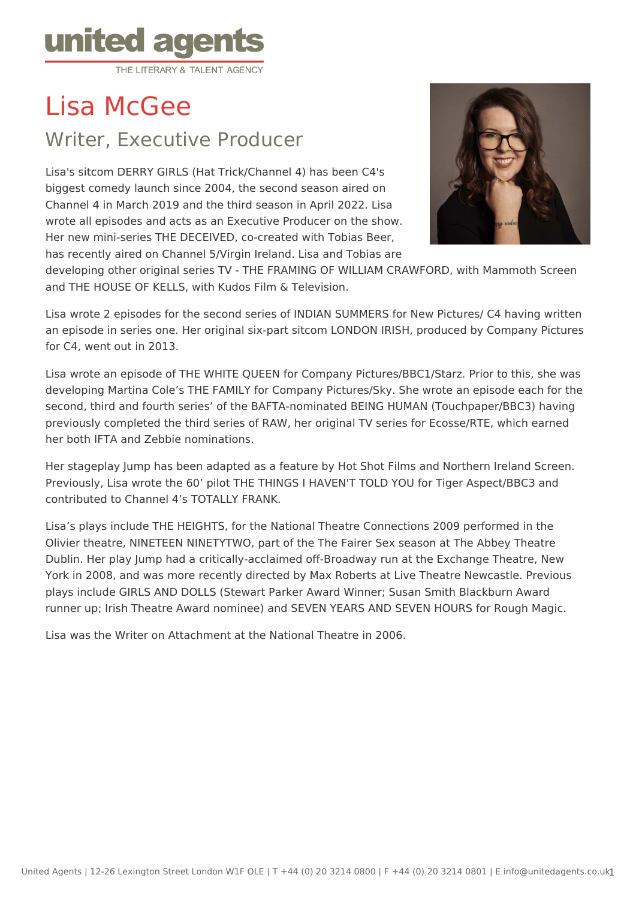

Lisa McGee

# Writer, Executive Producer

Lisa's sitcom DERRY GIRLS (Hat Trick/Channel 4) has been C4's biggest comedy launch since 2004, the second season aired on Channel 4 in March 2019 and the third season in April 2022. Lisa wrote all episodes and acts as an Executive Producer on the show. Her new mini-series THE DECEIVED, co-created with Tobias Beer, has recently aired on Channel 5/Virgin Ireland. Lisa and Tobias are



developing other original series TV - THE FRAMING OF WILLIAM CRAWFORD, with Mammoth Screen and THE HOUSE OF KELLS, with Kudos Film & Television.

Lisa wrote 2 episodes for the second series of INDIAN SUMMERS for New Pictures/ C4 having written an episode in series one. Her original six-part sitcom LONDON IRISH, produced by Company Pictures for C4, went out in 2013.

Lisa wrote an episode of THE WHITE QUEEN for Company Pictures/BBC1/Starz. Prior to this, she was developing Martina Cole's THE FAMILY for Company Pictures/Sky. She wrote an episode each for the second, third and fourth series' of the BAFTA-nominated BEING HUMAN (Touchpaper/BBC3) having previously completed the third series of RAW, her original TV series for Ecosse/RTE, which earned her both IFTA and Zebbie nominations.

Her stageplay Jump has been adapted as a feature by Hot Shot Films and Northern Ireland Screen. Previously, Lisa wrote the 60' pilot THE THINGS I HAVEN'T TOLD YOU for Tiger Aspect/BBC3 and contributed to Channel 4's TOTALLY FRANK.

Lisa's plays include THE HEIGHTS, for the National Theatre Connections 2009 performed in the Olivier theatre, NINETEEN NINETYTWO, part of the The Fairer Sex season at The Abbey Theatre Dublin. Her play Jump had a critically-acclaimed off-Broadway run at the Exchange Theatre, New York in 2008, and was more recently directed by Max Roberts at Live Theatre Newcastle. Previous plays include GIRLS AND DOLLS (Stewart Parker Award Winner; Susan Smith Blackburn Award runner up; Irish Theatre Award nominee) and SEVEN YEARS AND SEVEN HOURS for Rough Magic.

Lisa was the Writer on Attachment at the National Theatre in 2006.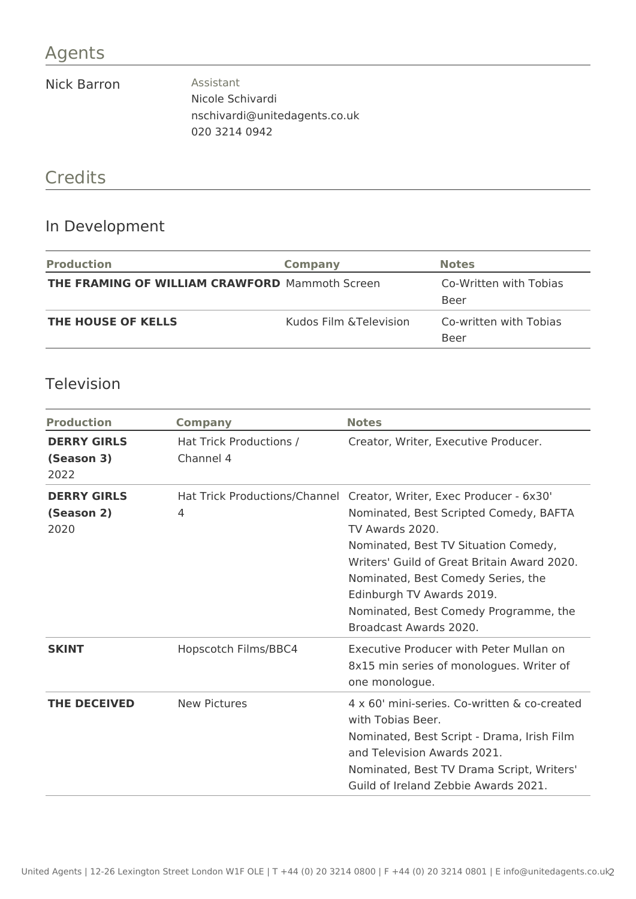#### Agents

#### Nick Barron **Assistant**

Nicole Schivardi nschivardi@unitedagents.co.uk 020 3214 0942

# Credits

#### In Development

| <b>Production</b>                                     | Company                 | <b>Notes</b>                   |
|-------------------------------------------------------|-------------------------|--------------------------------|
| <b>THE FRAMING OF WILLIAM CRAWFORD Mammoth Screen</b> |                         | Co-Written with Tobias<br>Beer |
| <b>THE HOUSE OF KELLS</b>                             | Kudos Film & Television | Co-written with Tobias<br>Beer |

#### Television

| <b>Production</b>                        | <b>Company</b>                       | <b>Notes</b>                                                                                                                                                                                                                                                                                                                                                   |
|------------------------------------------|--------------------------------------|----------------------------------------------------------------------------------------------------------------------------------------------------------------------------------------------------------------------------------------------------------------------------------------------------------------------------------------------------------------|
| <b>DERRY GIRLS</b><br>(Season 3)<br>2022 | Hat Trick Productions /<br>Channel 4 | Creator, Writer, Executive Producer.                                                                                                                                                                                                                                                                                                                           |
| <b>DERRY GIRLS</b><br>(Season 2)<br>2020 | 4                                    | Hat Trick Productions/Channel Creator, Writer, Exec Producer - 6x30'<br>Nominated, Best Scripted Comedy, BAFTA<br>TV Awards 2020.<br>Nominated, Best TV Situation Comedy,<br>Writers' Guild of Great Britain Award 2020.<br>Nominated, Best Comedy Series, the<br>Edinburgh TV Awards 2019.<br>Nominated, Best Comedy Programme, the<br>Broadcast Awards 2020. |
| <b>SKINT</b>                             | Hopscotch Films/BBC4                 | Executive Producer with Peter Mullan on<br>8x15 min series of monologues. Writer of<br>one monologue.                                                                                                                                                                                                                                                          |
| <b>THE DECEIVED</b>                      | <b>New Pictures</b>                  | 4 x 60' mini-series. Co-written & co-created<br>with Tobias Beer.<br>Nominated, Best Script - Drama, Irish Film<br>and Television Awards 2021.<br>Nominated, Best TV Drama Script, Writers'<br>Guild of Ireland Zebbie Awards 2021.                                                                                                                            |